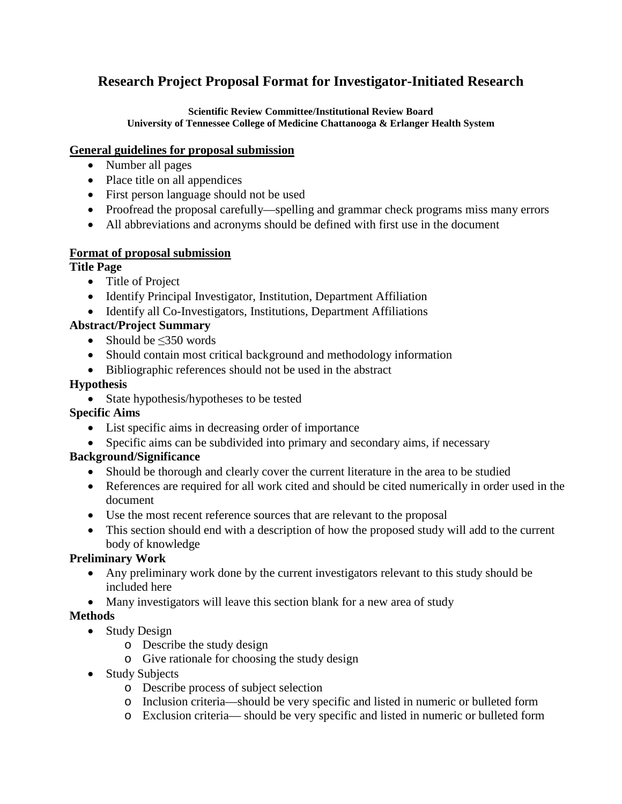# **Research Project Proposal Format for Investigator-Initiated Research**

**Scientific Review Committee/Institutional Review Board University of Tennessee College of Medicine Chattanooga & Erlanger Health System**

#### **General guidelines for proposal submission**

- Number all pages
- Place title on all appendices
- First person language should not be used
- Proofread the proposal carefully—spelling and grammar check programs miss many errors
- All abbreviations and acronyms should be defined with first use in the document

#### **Format of proposal submission**

## **Title Page**

- Title of Project
- Identify Principal Investigator, Institution, Department Affiliation
- Identify all Co-Investigators, Institutions, Department Affiliations

## **Abstract/Project Summary**

- Should be ≤350 words
- Should contain most critical background and methodology information
- Bibliographic references should not be used in the abstract

## **Hypothesis**

• State hypothesis/hypotheses to be tested

## **Specific Aims**

- List specific aims in decreasing order of importance
- Specific aims can be subdivided into primary and secondary aims, if necessary

## **Background/Significance**

- Should be thorough and clearly cover the current literature in the area to be studied
- References are required for all work cited and should be cited numerically in order used in the document
- Use the most recent reference sources that are relevant to the proposal
- This section should end with a description of how the proposed study will add to the current body of knowledge

## **Preliminary Work**

- Any preliminary work done by the current investigators relevant to this study should be included here
- Many investigators will leave this section blank for a new area of study

# **Methods**

- Study Design
	- o Describe the study design
	- o Give rationale for choosing the study design
- Study Subjects
	- o Describe process of subject selection
	- o Inclusion criteria—should be very specific and listed in numeric or bulleted form
	- o Exclusion criteria— should be very specific and listed in numeric or bulleted form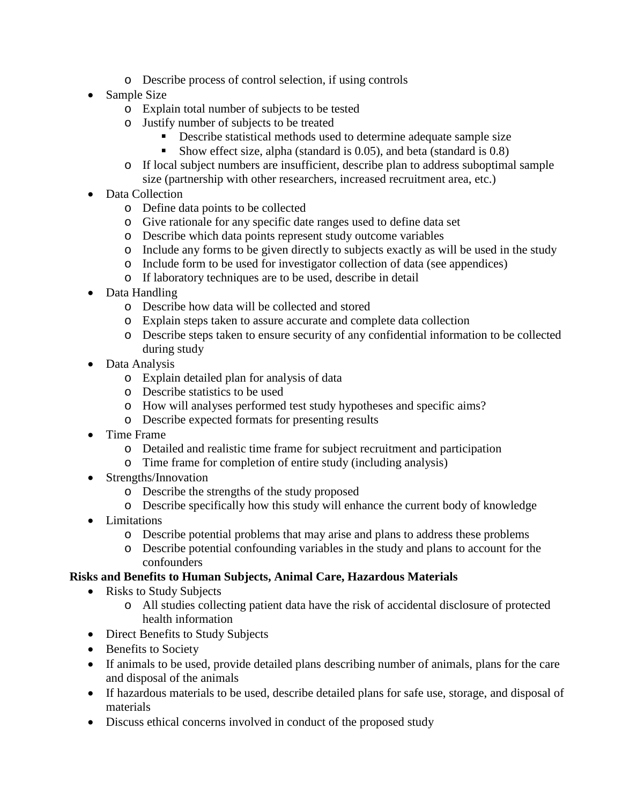- o Describe process of control selection, if using controls
- Sample Size
	- o Explain total number of subjects to be tested
	- o Justify number of subjects to be treated
		- Describe statistical methods used to determine adequate sample size
		- Show effect size, alpha (standard is 0.05), and beta (standard is 0.8)
	- o If local subject numbers are insufficient, describe plan to address suboptimal sample size (partnership with other researchers, increased recruitment area, etc.)
- Data Collection
	- o Define data points to be collected
	- o Give rationale for any specific date ranges used to define data set
	- o Describe which data points represent study outcome variables
	- o Include any forms to be given directly to subjects exactly as will be used in the study
	- o Include form to be used for investigator collection of data (see appendices)
	- o If laboratory techniques are to be used, describe in detail
- Data Handling
	- o Describe how data will be collected and stored
	- o Explain steps taken to assure accurate and complete data collection
	- o Describe steps taken to ensure security of any confidential information to be collected during study
- Data Analysis
	- o Explain detailed plan for analysis of data
	- o Describe statistics to be used
	- o How will analyses performed test study hypotheses and specific aims?
	- o Describe expected formats for presenting results
- Time Frame
	- o Detailed and realistic time frame for subject recruitment and participation
	- o Time frame for completion of entire study (including analysis)
- Strengths/Innovation
	- o Describe the strengths of the study proposed
	- o Describe specifically how this study will enhance the current body of knowledge
- Limitations
	- o Describe potential problems that may arise and plans to address these problems
	- o Describe potential confounding variables in the study and plans to account for the confounders

# **Risks and Benefits to Human Subjects, Animal Care, Hazardous Materials**

- Risks to Study Subjects
	- o All studies collecting patient data have the risk of accidental disclosure of protected health information
- Direct Benefits to Study Subjects
- Benefits to Society
- If animals to be used, provide detailed plans describing number of animals, plans for the care and disposal of the animals
- If hazardous materials to be used, describe detailed plans for safe use, storage, and disposal of materials
- Discuss ethical concerns involved in conduct of the proposed study